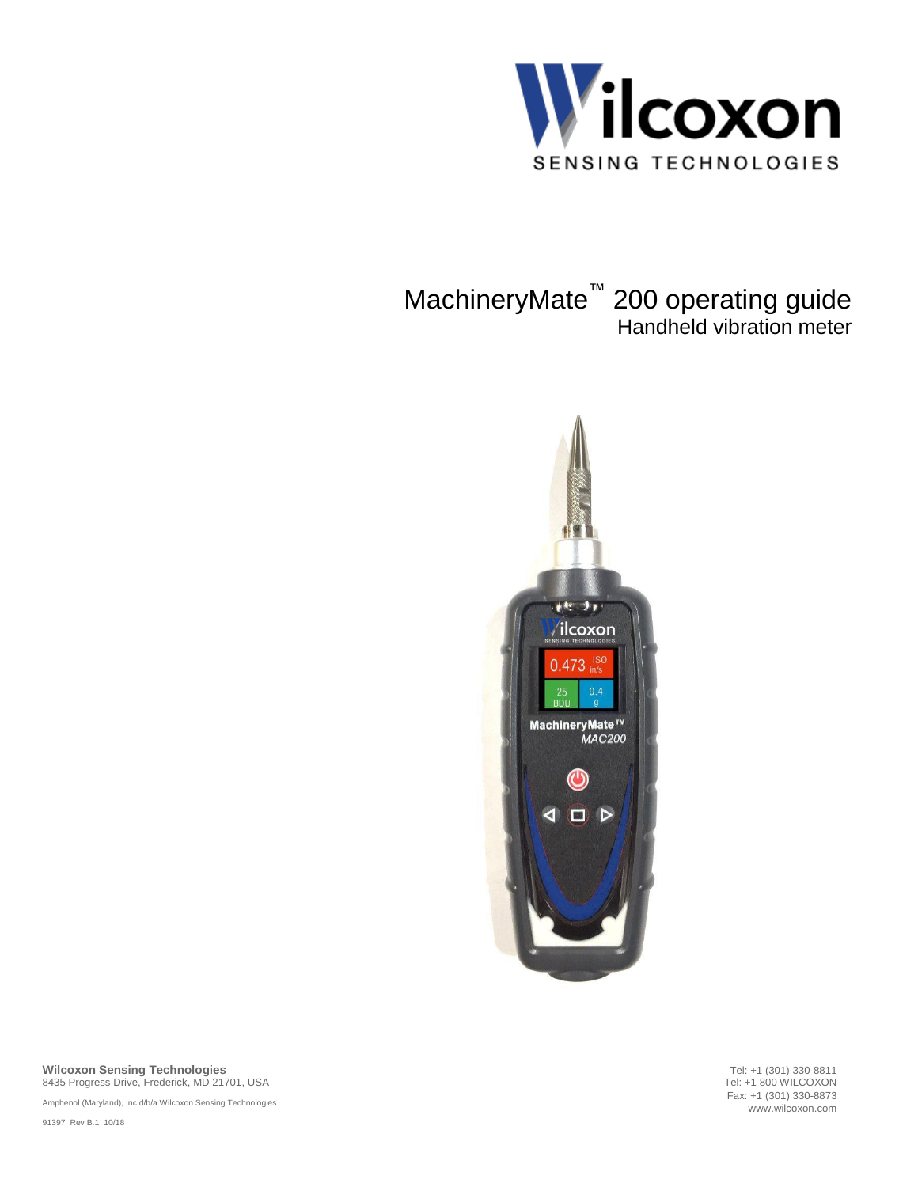

# MachineryMate™ 200 operating guide Handheld vibration meter



**Wilcoxon Sensing Technologies** 8435 Progress Drive, Frederick, MD 21701, USA

Amphenol (Maryland), Inc d/b/a Wilcoxon Sensing Technologies

91397 Rev B.1 10/18

Tel: +1 (301) 330-8811 Tel: +1 800 WILCOXON Fax: +1 (301) 330-8873 www.wilcoxon.com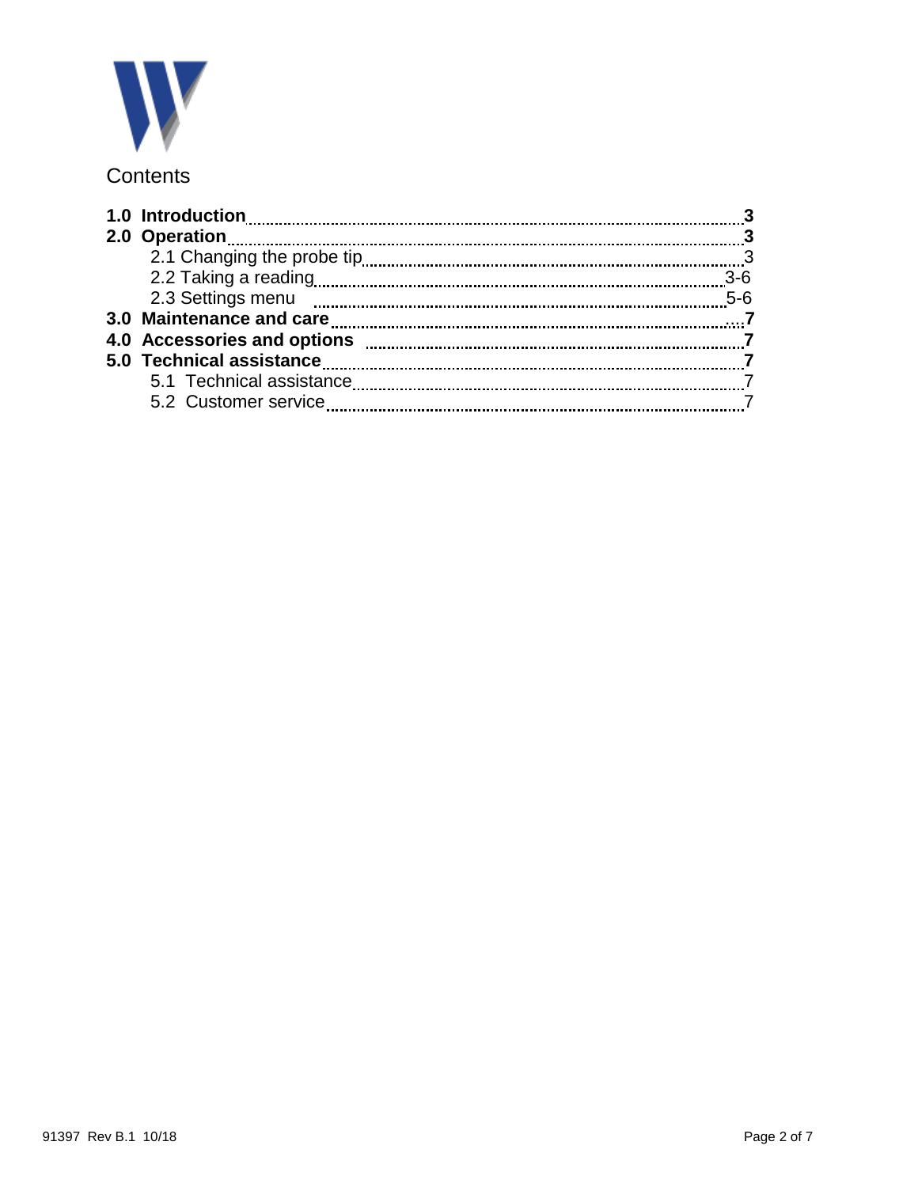

## **Contents**

| 1.0 Introduction         |       |
|--------------------------|-------|
|                          |       |
|                          |       |
|                          | 3-6   |
| 2.3 Settings menu        | $5-6$ |
| 3.0 Maintenance and care |       |
|                          |       |
|                          |       |
| 5.1 Technical assistance |       |
| 5.2 Customer service     |       |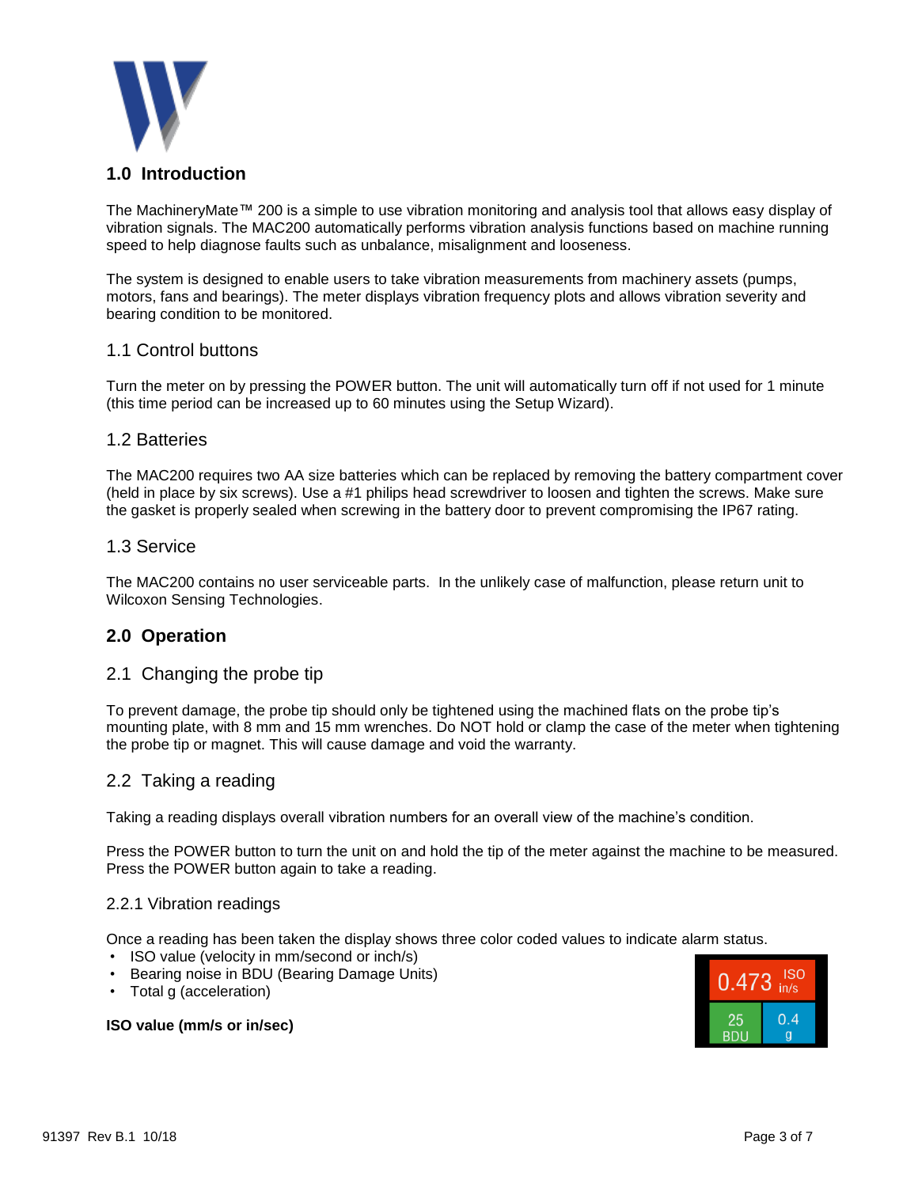

## **1.0 Introduction**

The MachineryMate™ 200 is a simple to use vibration monitoring and analysis tool that allows easy display of vibration signals. The MAC200 automatically performs vibration analysis functions based on machine running speed to help diagnose faults such as unbalance, misalignment and looseness.

The system is designed to enable users to take vibration measurements from machinery assets (pumps, motors, fans and bearings). The meter displays vibration frequency plots and allows vibration severity and bearing condition to be monitored.

## 1.1 Control buttons

Turn the meter on by pressing the POWER button. The unit will automatically turn off if not used for 1 minute (this time period can be increased up to 60 minutes using the Setup Wizard).

#### 1.2 Batteries

The MAC200 requires two AA size batteries which can be replaced by removing the battery compartment cover (held in place by six screws). Use a #1 philips head screwdriver to loosen and tighten the screws. Make sure the gasket is properly sealed when screwing in the battery door to prevent compromising the IP67 rating.

#### 1.3 Service

The MAC200 contains no user serviceable parts. In the unlikely case of malfunction, please return unit to Wilcoxon Sensing Technologies.

#### **2.0 Operation**

#### 2.1 Changing the probe tip

To prevent damage, the probe tip should only be tightened using the machined flats on the probe tip's mounting plate, with 8 mm and 15 mm wrenches. Do NOT hold or clamp the case of the meter when tightening the probe tip or magnet. This will cause damage and void the warranty.

#### 2.2 Taking a reading

Taking a reading displays overall vibration numbers for an overall view of the machine's condition.

Press the POWER button to turn the unit on and hold the tip of the meter against the machine to be measured. Press the POWER button again to take a reading.

#### 2.2.1 Vibration readings

Once a reading has been taken the display shows three color coded values to indicate alarm status.

- ISO value (velocity in mm/second or inch/s)
- Bearing noise in BDU (Bearing Damage Units)
- Total g (acceleration)

#### **ISO value (mm/s or in/sec)**

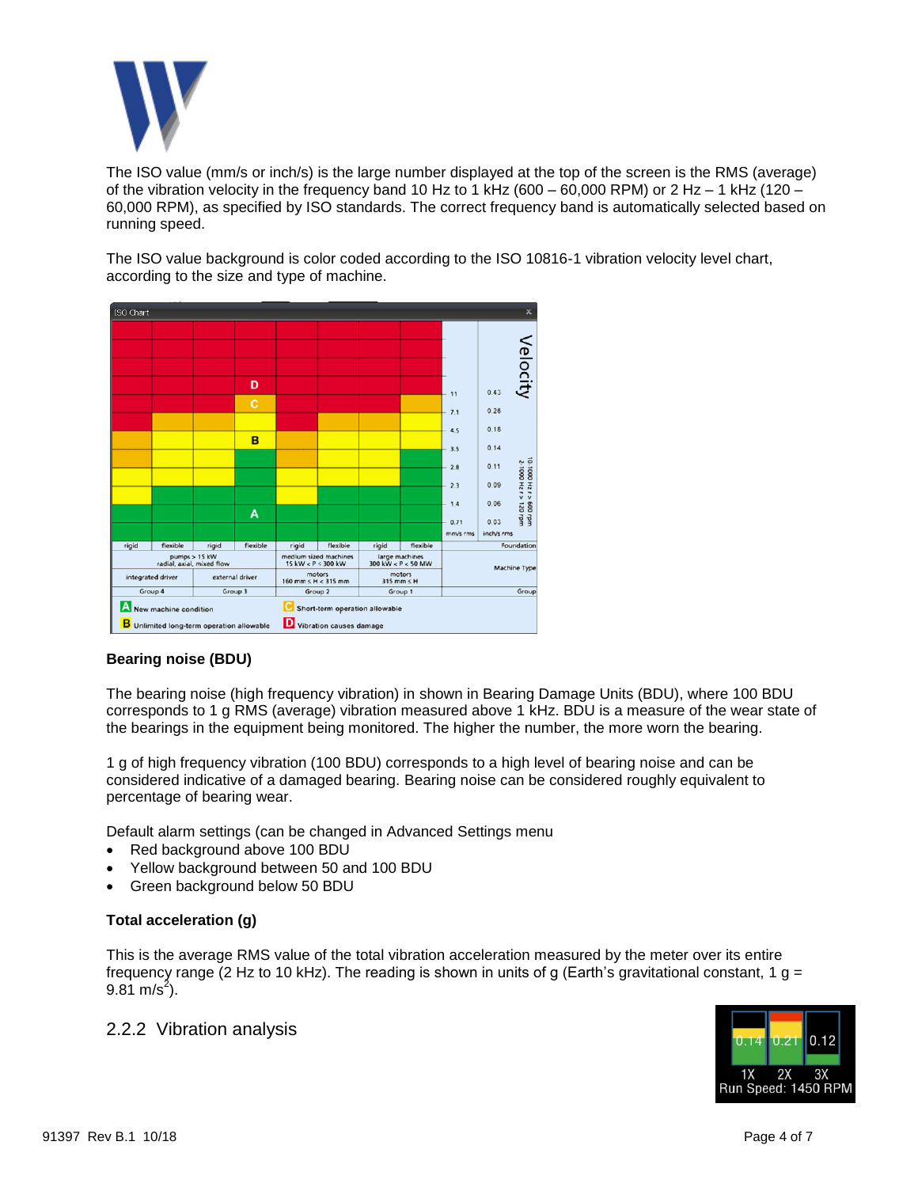

The ISO value (mm/s or inch/s) is the large number displayed at the top of the screen is the RMS (average) of the vibration velocity in the frequency band 10 Hz to 1 kHz (600 – 60,000 RPM) or 2 Hz – 1 kHz (120 – 60,000 RPM), as specified by ISO standards. The correct frequency band is automatically selected based on running speed.

The ISO value background is color coded according to the ISO 10816-1 vibration velocity level chart, according to the size and type of machine.



## **Bearing noise (BDU)**

The bearing noise (high frequency vibration) in shown in Bearing Damage Units (BDU), where 100 BDU corresponds to 1 g RMS (average) vibration measured above 1 kHz. BDU is a measure of the wear state of the bearings in the equipment being monitored. The higher the number, the more worn the bearing.

1 g of high frequency vibration (100 BDU) corresponds to a high level of bearing noise and can be considered indicative of a damaged bearing. Bearing noise can be considered roughly equivalent to percentage of bearing wear.

Default alarm settings (can be changed in Advanced Settings menu

- Red background above 100 BDU
- Yellow background between 50 and 100 BDU
- Green background below 50 BDU

#### **Total acceleration (g)**

This is the average RMS value of the total vibration acceleration measured by the meter over its entire frequency range (2 Hz to 10 kHz). The reading is shown in units of g (Earth's gravitational constant, 1 g =  $9.81 \text{ m/s}^2$ ).

2.2.2 Vibration analysis

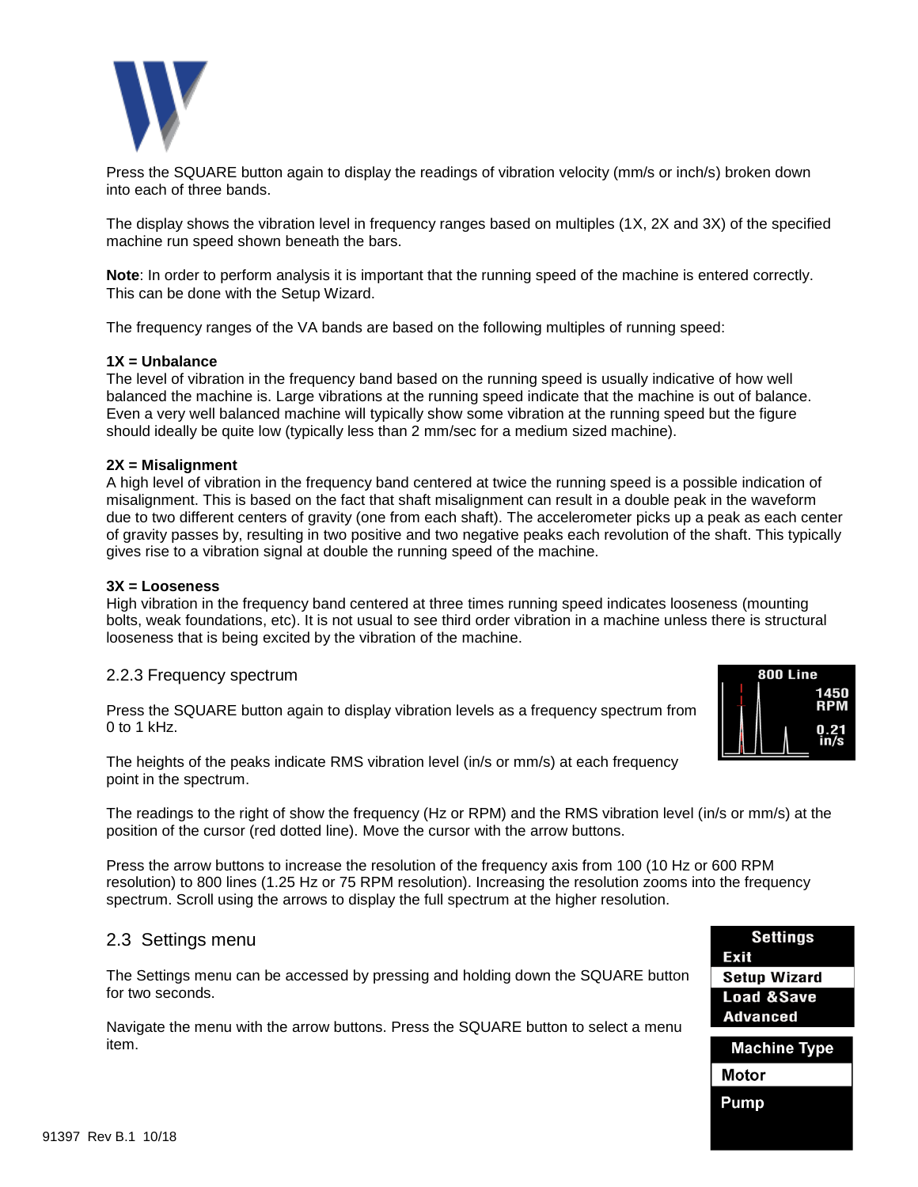

Press the SQUARE button again to display the readings of vibration velocity (mm/s or inch/s) broken down into each of three bands.

The display shows the vibration level in frequency ranges based on multiples (1X, 2X and 3X) of the specified machine run speed shown beneath the bars.

**Note**: In order to perform analysis it is important that the running speed of the machine is entered correctly. This can be done with the Setup Wizard.

The frequency ranges of the VA bands are based on the following multiples of running speed:

#### **1X = Unbalance**

The level of vibration in the frequency band based on the running speed is usually indicative of how well balanced the machine is. Large vibrations at the running speed indicate that the machine is out of balance. Even a very well balanced machine will typically show some vibration at the running speed but the figure should ideally be quite low (typically less than 2 mm/sec for a medium sized machine).

#### **2X = Misalignment**

A high level of vibration in the frequency band centered at twice the running speed is a possible indication of misalignment. This is based on the fact that shaft misalignment can result in a double peak in the waveform due to two different centers of gravity (one from each shaft). The accelerometer picks up a peak as each center of gravity passes by, resulting in two positive and two negative peaks each revolution of the shaft. This typically gives rise to a vibration signal at double the running speed of the machine.

#### **3X = Looseness**

High vibration in the frequency band centered at three times running speed indicates looseness (mounting bolts, weak foundations, etc). It is not usual to see third order vibration in a machine unless there is structural looseness that is being excited by the vibration of the machine.

#### 2.2.3 Frequency spectrum

Press the SQUARE button again to display vibration levels as a frequency spectrum from 0 to 1 kHz.

The heights of the peaks indicate RMS vibration level (in/s or mm/s) at each frequency point in the spectrum.

The readings to the right of show the frequency (Hz or RPM) and the RMS vibration level (in/s or mm/s) at the position of the cursor (red dotted line). Move the cursor with the arrow buttons.

Press the arrow buttons to increase the resolution of the frequency axis from 100 (10 Hz or 600 RPM resolution) to 800 lines (1.25 Hz or 75 RPM resolution). Increasing the resolution zooms into the frequency spectrum. Scroll using the arrows to display the full spectrum at the higher resolution.

#### 2.3 Settings menu

The Settings menu can be accessed by pressing and holding down the SQUARE button for two seconds.

Navigate the menu with the arrow buttons. Press the SQUARE button to select a menu item.



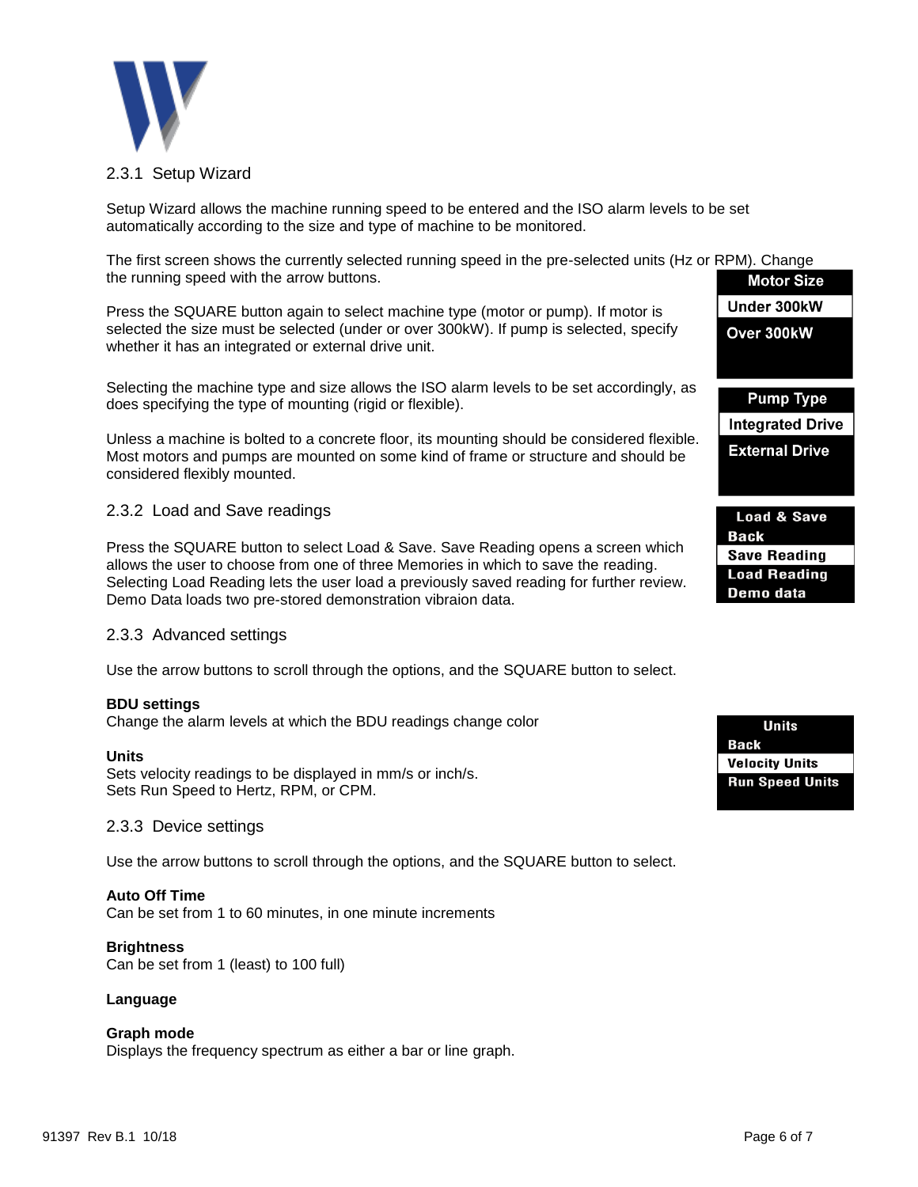

#### 2.3.1 Setup Wizard

Setup Wizard allows the machine running speed to be entered and the ISO alarm levels to be set automatically according to the size and type of machine to be monitored.

The first screen shows the currently selected running speed in the pre-selected units (Hz or RPM). Change the running speed with the arrow buttons.

Press the SQUARE button again to select machine type (motor or pump). If motor is selected the size must be selected (under or over 300kW). If pump is selected, specify whether it has an integrated or external drive unit.

Selecting the machine type and size allows the ISO alarm levels to be set accordingly, as does specifying the type of mounting (rigid or flexible).

Unless a machine is bolted to a concrete floor, its mounting should be considered flexible. Most motors and pumps are mounted on some kind of frame or structure and should be considered flexibly mounted.

#### 2.3.2 Load and Save readings

Press the SQUARE button to select Load & Save. Save Reading opens a screen which allows the user to choose from one of three Memories in which to save the reading. Selecting Load Reading lets the user load a previously saved reading for further review. Demo Data loads two pre-stored demonstration vibraion data.

#### 2.3.3 Advanced settings

Use the arrow buttons to scroll through the options, and the SQUARE button to select.

#### **BDU settings**

Change the alarm levels at which the BDU readings change color

#### **Units**

Sets velocity readings to be displayed in mm/s or inch/s. Sets Run Speed to Hertz, RPM, or CPM.

#### 2.3.3 Device settings

Use the arrow buttons to scroll through the options, and the SQUARE button to select.

#### **Auto Off Time**

Can be set from 1 to 60 minutes, in one minute increments

#### **Brightness**

Can be set from 1 (least) to 100 full)

#### **Language**

#### **Graph mode**

Displays the frequency spectrum as either a bar or line graph.

| <b>Motor Size</b>      |
|------------------------|
| Under 300kW            |
| Over 300kW             |
|                        |
|                        |
| <b>Pump Type</b>       |
| Integrated Drive       |
| <b>External Drive</b>  |
|                        |
|                        |
| <b>Load &amp; Save</b> |
| <b>Back</b>            |

**Save Reading Load Reading** Demo data